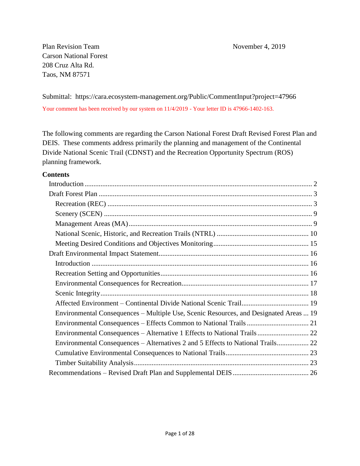Plan Revision Team November 4, 2019 Carson National Forest 208 Cruz Alta Rd. Taos, NM 87571

Submittal: https://cara.ecosystem-management.org/Public/CommentInput?project=47966 Your comment has been received by our system on 11/4/2019 - Your letter ID is 47966-1402-163.

The following comments are regarding the Carson National Forest Draft Revised Forest Plan and DEIS. These comments address primarily the planning and management of the Continental Divide National Scenic Trail (CDNST) and the Recreation Opportunity Spectrum (ROS) planning framework.

#### **Contents**

<span id="page-0-0"></span>

| Environmental Consequences - Multiple Use, Scenic Resources, and Designated Areas  19 |
|---------------------------------------------------------------------------------------|
|                                                                                       |
| Environmental Consequences - Alternative 1 Effects to National Trails  22             |
| Environmental Consequences - Alternatives 2 and 5 Effects to National Trails 22       |
|                                                                                       |
|                                                                                       |
|                                                                                       |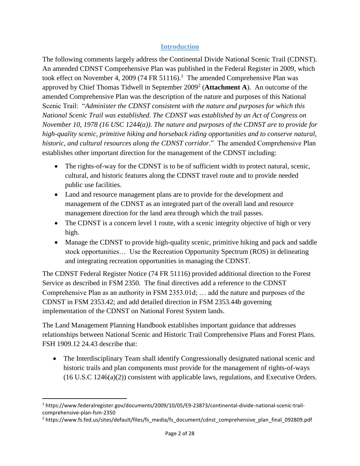## **Introduction**

The following comments largely address the Continental Divide National Scenic Trail (CDNST). An amended CDNST Comprehensive Plan was published in the Federal Register in 2009, which took effect on November 4, 2009 (74 FR 51116).<sup>1</sup> The amended Comprehensive Plan was approved by Chief Thomas Tidwell in September 2009<sup>2</sup> (Attachment A). An outcome of the amended Comprehensive Plan was the description of the nature and purposes of this National Scenic Trail: "*Administer the CDNST consistent with the nature and purposes for which this National Scenic Trail was established. The CDNST was established by an Act of Congress on November 10, 1978 (16 USC 1244(a)). The nature and purposes of the CDNST are to provide for high-quality scenic, primitive hiking and horseback riding opportunities and to conserve natural, historic, and cultural resources along the CDNST corridor*." The amended Comprehensive Plan establishes other important direction for the management of the CDNST including:

- The rights-of-way for the CDNST is to be of sufficient width to protect natural, scenic, cultural, and historic features along the CDNST travel route and to provide needed public use facilities.
- Land and resource management plans are to provide for the development and management of the CDNST as an integrated part of the overall land and resource management direction for the land area through which the trail passes.
- The CDNST is a concern level 1 route, with a scenic integrity objective of high or very high.
- Manage the CDNST to provide high-quality scenic, primitive hiking and pack and saddle stock opportunities… Use the Recreation Opportunity Spectrum (ROS) in delineating and integrating recreation opportunities in managing the CDNST.

The CDNST Federal Register Notice (74 FR 51116) provided additional direction to the Forest Service as described in FSM 2350. The final directives add a reference to the CDNST Comprehensive Plan as an authority in FSM 2353.01d; … add the nature and purposes of the CDNST in FSM 2353.42; and add detailed direction in FSM 2353.44b governing implementation of the CDNST on National Forest System lands.

The Land Management Planning Handbook establishes important guidance that addresses relationships between National Scenic and Historic Trail Comprehensive Plans and Forest Plans. FSH 1909.12 24.43 describe that:

• The Interdisciplinary Team shall identify Congressionally designated national scenic and historic trails and plan components must provide for the management of rights-of-ways (16 U.S.C 1246(a)(2)) consistent with applicable laws, regulations, and Executive Orders.

 $\overline{a}$ 

<sup>1</sup> https://www.federalregister.gov/documents/2009/10/05/E9-23873/continental-divide-national-scenic-trailcomprehensive-plan-fsm-2350

<sup>2</sup> https://www.fs.fed.us/sites/default/files/fs\_media/fs\_document/cdnst\_comprehensive\_plan\_final\_092809.pdf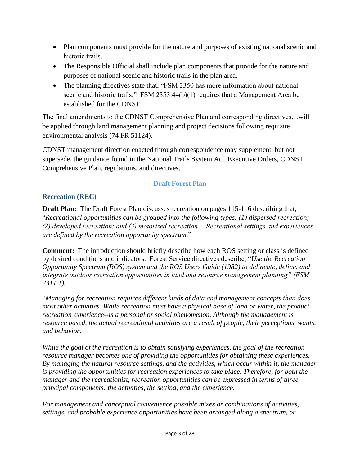- Plan components must provide for the nature and purposes of existing national scenic and historic trails…
- The Responsible Official shall include plan components that provide for the nature and purposes of national scenic and historic trails in the plan area.
- The planning directives state that, "FSM 2350 has more information about national scenic and historic trails." FSM 2353.44(b)(1) requires that a Management Area be established for the CDNST.

The final amendments to the CDNST Comprehensive Plan and corresponding directives…will be applied through land management planning and project decisions following requisite environmental analysis (74 FR 51124).

CDNST management direction enacted through correspondence may supplement, but not supersede, the guidance found in the National Trails System Act, Executive Orders, CDNST Comprehensive Plan, regulations, and directives.

# **Draft Forest Plan**

# <span id="page-2-1"></span><span id="page-2-0"></span>**Recreation (REC)**

**Draft Plan:** The Draft Forest Plan discusses recreation on pages 115-116 describing that, "*Recreational opportunities can be grouped into the following types: (1) dispersed recreation; (2) developed recreation; and (3) motorized recreation… Recreational settings and experiences are defined by the recreation opportunity spectrum.*"

**Comment:** The introduction should briefly describe how each ROS setting or class is defined by desired conditions and indicators. Forest Service directives describe, "*Use the Recreation Opportunity Spectrum (ROS) system and the ROS Users Guide (1982) to delineate, define, and integrate outdoor recreation opportunities in land and resource management planning" (FSM 2311.1).* 

"*Managing for recreation requires different kinds of data and management concepts than does most other activities. While recreation must have a physical base of land or water, the product recreation experience--is a personal or social phenomenon. Although the management is resource based, the actual recreational activities are a result of people, their perceptions, wants, and behavior.*

*While the goal of the recreation is to obtain satisfying experiences, the goal of the recreation resource manager becomes one of providing the opportunities for obtaining these experiences. By managing the natural resource settings, and the activities, which occur within it, the manager is providing the opportunities for recreation experiences to take place. Therefore, for both the manager and the recreationist, recreation opportunities can be expressed in terms of three principal components: the activities, the setting, and the experience.*

*For management and conceptual convenience possible mixes or combinations of activities, settings, and probable experience opportunities have been arranged along a spectrum, or*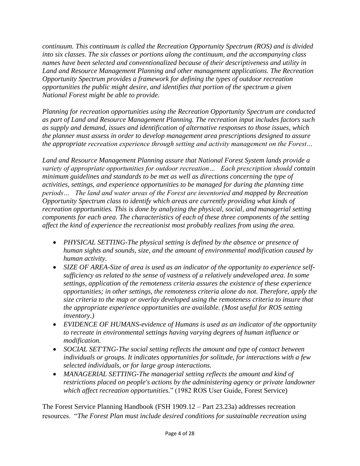*continuum. This continuum is called the Recreation Opportunity Spectrum (ROS) and is divided into six classes. The six classes or portions along the continuum, and the accompanying class names have been selected and conventionalized because of their descriptiveness and utility in Land and Resource Management Planning and other management applications. The Recreation Opportunity Spectrum provides a framework for defining the types of outdoor recreation opportunities the public might desire, and identifies that portion of the spectrum a given National Forest might be able to provide.*

*Planning for recreation opportunities using the Recreation Opportunity Spectrum are conducted as part of Land and Resource Management Planning. The recreation input includes factors such as supply and demand, issues and identification of alternative responses to those issues, which the planner must assess in order to develop management area prescriptions designed to assure the appropriate recreation experience through setting and activity management on the Forest…*

*Land and Resource Management Planning assure that National Forest System lands provide a variety of appropriate opportunities for outdoor recreation… Each prescription should contain minimum guidelines and standards to be met as well as directions concerning the type of activities, settings, and experience opportunities to be managed for during the planning time periods… The land and water areas of the Forest are inventoried and mapped by Recreation Opportunity Spectrum class to identify which areas are currently providing what kinds of recreation opportunities. This is done by analyzing the physical, social, and managerial setting components for each area. The characteristics of each of these three components of the setting affect the kind of experience the recreationist most probably realizes from using the area.*

- *PHYSICAL SETTING-The physical setting is defined by the absence or presence of human sights and sounds, size, and the amount of environmental modification caused by human activity.*
- *SIZE OF AREA-Size of area is used as an indicator of the opportunity to experience selfsufficiency as related to the sense of vastness of a relatively undeveloped area. In some settings, application of the remoteness criteria assures the existence of these experience opportunities; in other settings, the remoteness criteria alone do not. Therefore, apply the size criteria to the map or overlay developed using the remoteness criteria to insure that the appropriate experience opportunities are available. (Most useful for ROS setting inventory.)*
- *EVIDENCE OF HUMANS-evidence of Humans is used as an indicator of the opportunity to recreate in environmental settings having varying degrees of human influence or modification.*
- *SOCIAL SET'TNG-The social setting reflects the amount and type of contact between individuals or groups. It indicates opportunities for solitude, for interactions with a few selected individuals, or for large group interactions.*
- *MANAGERIAL SETTING-The managerial setting reflects the amount and kind of restrictions placed on people's actions by the administering agency or private landowner which affect recreation opportunities.*" (1982 ROS User Guide, Forest Service)

The Forest Service Planning Handbook (FSH 1909.12 – Part 23.23a) addresses recreation resources. "*The Forest Plan must include desired conditions for sustainable recreation using*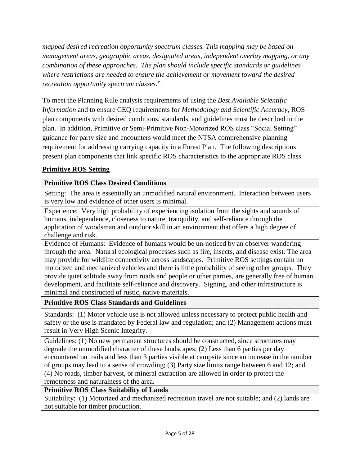*mapped desired recreation opportunity spectrum classes. This mapping may be based on management areas, geographic areas, designated areas, independent overlay mapping, or any combination of these approaches. The plan should include specific standards or guidelines where restrictions are needed to ensure the achievement or movement toward the desired recreation opportunity spectrum classes.*"

To meet the Planning Rule analysis requirements of using the *Best Available Scientific Information* and to ensure CEQ requirements for *Methodology and Scientific Accuracy*, ROS plan components with desired conditions, standards, and guidelines must be described in the plan. In addition, Primitive or Semi-Primitive Non-Motorized ROS class "Social Setting" guidance for party size and encounters would meet the NTSA comprehensive planning requirement for addressing carrying capacity in a Forest Plan. The following descriptions present plan components that link specific ROS characteristics to the appropriate ROS class.

# **Primitive ROS Setting**

## **Primitive ROS Class Desired Conditions**

Setting: The area is essentially an unmodified natural environment. Interaction between users is very low and evidence of other users is minimal.

Experience: Very high probability of experiencing isolation from the sights and sounds of humans, independence, closeness to nature, tranquility, and self-reliance through the application of woodsman and outdoor skill in an environment that offers a high degree of challenge and risk.

Evidence of Humans: Evidence of humans would be un-noticed by an observer wandering through the area. Natural ecological processes such as fire, insects, and disease exist. The area may provide for wildlife connectivity across landscapes. Primitive ROS settings contain no motorized and mechanized vehicles and there is little probability of seeing other groups. They provide quiet solitude away from roads and people or other parties, are generally free of human development, and facilitate self-reliance and discovery. Signing, and other infrastructure is minimal and constructed of rustic, native materials.

**Primitive ROS Class Standards and Guidelines**

Standards: (1) Motor vehicle use is not allowed unless necessary to protect public health and safety or the use is mandated by Federal law and regulation; and (2) Management actions must result in Very High Scenic Integrity.

Guidelines: (1) No new permanent structures should be constructed, since structures may degrade the unmodified character of these landscapes; (2) Less than 6 parties per day encountered on trails and less than 3 parties visible at campsite since an increase in the number of groups may lead to a sense of crowding; (3) Party size limits range between 6 and 12; and (4) No roads, timber harvest, or mineral extraction are allowed in order to protect the remoteness and naturalness of the area.

**Primitive ROS Class Suitability of Lands**

Suitability: (1) Motorized and mechanized recreation travel are not suitable; and (2) lands are not suitable for timber production.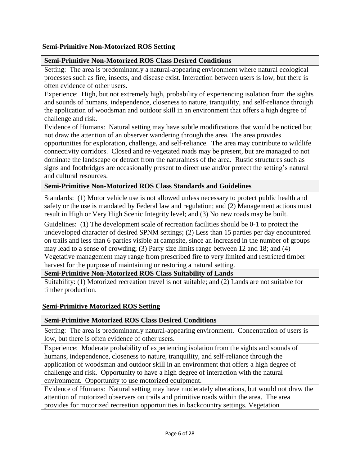#### **Semi-Primitive Non-Motorized ROS Setting**

#### **Semi-Primitive Non-Motorized ROS Class Desired Conditions**

Setting: The area is predominantly a natural-appearing environment where natural ecological processes such as fire, insects, and disease exist. Interaction between users is low, but there is often evidence of other users.

Experience: High, but not extremely high, probability of experiencing isolation from the sights and sounds of humans, independence, closeness to nature, tranquility, and self-reliance through the application of woodsman and outdoor skill in an environment that offers a high degree of challenge and risk.

Evidence of Humans: Natural setting may have subtle modifications that would be noticed but not draw the attention of an observer wandering through the area. The area provides opportunities for exploration, challenge, and self-reliance. The area may contribute to wildlife connectivity corridors. Closed and re-vegetated roads may be present, but are managed to not dominate the landscape or detract from the naturalness of the area. Rustic structures such as signs and footbridges are occasionally present to direct use and/or protect the setting's natural and cultural resources.

**Semi-Primitive Non-Motorized ROS Class Standards and Guidelines**

Standards: (1) Motor vehicle use is not allowed unless necessary to protect public health and safety or the use is mandated by Federal law and regulation; and (2) Management actions must result in High or Very High Scenic Integrity level; and (3) No new roads may be built.

Guidelines: (1) The development scale of recreation facilities should be 0-1 to protect the undeveloped character of desired SPNM settings; (2) Less than 15 parties per day encountered on trails and less than 6 parties visible at campsite, since an increased in the number of groups may lead to a sense of crowding; (3) Party size limits range between 12 and 18; and (4) Vegetative management may range from prescribed fire to very limited and restricted timber harvest for the purpose of maintaining or restoring a natural setting.

**Semi-Primitive Non-Motorized ROS Class Suitability of Lands**

Suitability: (1) Motorized recreation travel is not suitable; and (2) Lands are not suitable for timber production.

#### **Semi-Primitive Motorized ROS Setting**

#### **Semi-Primitive Motorized ROS Class Desired Conditions**

Setting: The area is predominantly natural-appearing environment. Concentration of users is low, but there is often evidence of other users.

Experience: Moderate probability of experiencing isolation from the sights and sounds of humans, independence, closeness to nature, tranquility, and self-reliance through the application of woodsman and outdoor skill in an environment that offers a high degree of challenge and risk. Opportunity to have a high degree of interaction with the natural environment. Opportunity to use motorized equipment.

Evidence of Humans: Natural setting may have moderately alterations, but would not draw the attention of motorized observers on trails and primitive roads within the area. The area provides for motorized recreation opportunities in backcountry settings. Vegetation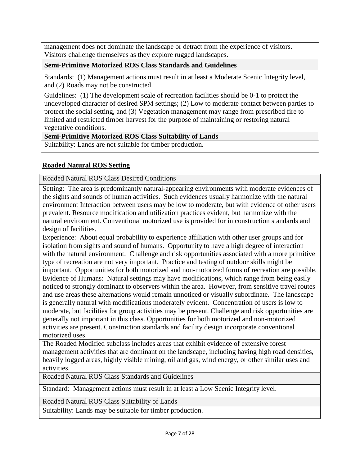management does not dominate the landscape or detract from the experience of visitors. Visitors challenge themselves as they explore rugged landscapes.

## **Semi-Primitive Motorized ROS Class Standards and Guidelines**

Standards: (1) Management actions must result in at least a Moderate Scenic Integrity level, and (2) Roads may not be constructed.

Guidelines: (1) The development scale of recreation facilities should be 0-1 to protect the undeveloped character of desired SPM settings; (2) Low to moderate contact between parties to protect the social setting, and (3) Vegetation management may range from prescribed fire to limited and restricted timber harvest for the purpose of maintaining or restoring natural vegetative conditions.

## **Semi-Primitive Motorized ROS Class Suitability of Lands**

Suitability: Lands are not suitable for timber production.

# **Roaded Natural ROS Setting**

Roaded Natural ROS Class Desired Conditions

Setting: The area is predominantly natural-appearing environments with moderate evidences of the sights and sounds of human activities. Such evidences usually harmonize with the natural environment Interaction between users may be low to moderate, but with evidence of other users prevalent. Resource modification and utilization practices evident, but harmonize with the natural environment. Conventional motorized use is provided for in construction standards and design of facilities.

Experience: About equal probability to experience affiliation with other user groups and for isolation from sights and sound of humans. Opportunity to have a high degree of interaction with the natural environment. Challenge and risk opportunities associated with a more primitive type of recreation are not very important. Practice and testing of outdoor skills might be important. Opportunities for both motorized and non-motorized forms of recreation are possible. Evidence of Humans: Natural settings may have modifications, which range from being easily noticed to strongly dominant to observers within the area. However, from sensitive travel routes and use areas these alternations would remain unnoticed or visually subordinate. The landscape is generally natural with modifications moderately evident. Concentration of users is low to moderate, but facilities for group activities may be present. Challenge and risk opportunities are

generally not important in this class. Opportunities for both motorized and non-motorized activities are present. Construction standards and facility design incorporate conventional motorized uses.

The Roaded Modified subclass includes areas that exhibit evidence of extensive forest management activities that are dominant on the landscape, including having high road densities, heavily logged areas, highly visible mining, oil and gas, wind energy, or other similar uses and activities.

Roaded Natural ROS Class Standards and Guidelines

Standard: Management actions must result in at least a Low Scenic Integrity level.

## Roaded Natural ROS Class Suitability of Lands

Suitability: Lands may be suitable for timber production.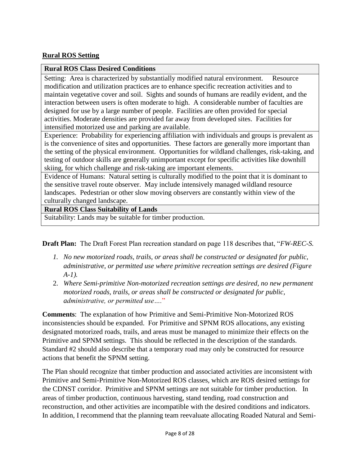#### **Rural ROS Setting**

#### **Rural ROS Class Desired Conditions**

Setting: Area is characterized by substantially modified natural environment. Resource modification and utilization practices are to enhance specific recreation activities and to maintain vegetative cover and soil. Sights and sounds of humans are readily evident, and the interaction between users is often moderate to high. A considerable number of faculties are designed for use by a large number of people. Facilities are often provided for special activities. Moderate densities are provided far away from developed sites. Facilities for intensified motorized use and parking are available.

Experience: Probability for experiencing affiliation with individuals and groups is prevalent as is the convenience of sites and opportunities. These factors are generally more important than the setting of the physical environment. Opportunities for wildland challenges, risk-taking, and testing of outdoor skills are generally unimportant except for specific activities like downhill skiing, for which challenge and risk-taking are important elements.

Evidence of Humans: Natural setting is culturally modified to the point that it is dominant to the sensitive travel route observer. May include intensively managed wildland resource landscapes. Pedestrian or other slow moving observers are constantly within view of the culturally changed landscape.

#### **Rural ROS Class Suitability of Lands**

Suitability: Lands may be suitable for timber production.

**Draft Plan:** The Draft Forest Plan recreation standard on page 118 describes that, "*FW-REC-S.* 

- *1. No new motorized roads, trails, or areas shall be constructed or designated for public, administrative, or permitted use where primitive recreation settings are desired (Figure A-1).*
- 2. *Where Semi-primitive Non-motorized recreation settings are desired, no new permanent motorized roads, trails, or areas shall be constructed or designated for public, administrative, or permitted use….*"

**Comments**: The explanation of how Primitive and Semi-Primitive Non-Motorized ROS inconsistencies should be expanded. For Primitive and SPNM ROS allocations, any existing designated motorized roads, trails, and areas must be managed to minimize their effects on the Primitive and SPNM settings. This should be reflected in the description of the standards. Standard #2 should also describe that a temporary road may only be constructed for resource actions that benefit the SPNM setting.

The Plan should recognize that timber production and associated activities are inconsistent with Primitive and Semi-Primitive Non-Motorized ROS classes, which are ROS desired settings for the CDNST corridor. Primitive and SPNM settings are not suitable for timber production. In areas of timber production, continuous harvesting, stand tending, road construction and reconstruction, and other activities are incompatible with the desired conditions and indicators. In addition, I recommend that the planning team reevaluate allocating Roaded Natural and Semi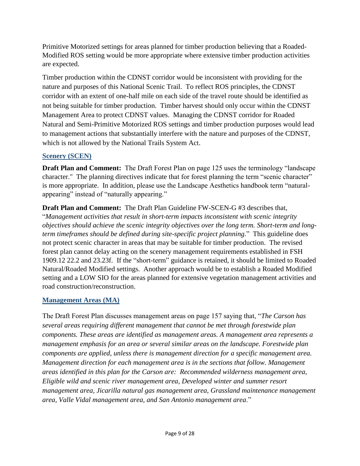Primitive Motorized settings for areas planned for timber production believing that a Roaded-Modified ROS setting would be more appropriate where extensive timber production activities are expected.

Timber production within the CDNST corridor would be inconsistent with providing for the nature and purposes of this National Scenic Trail. To reflect ROS principles, the CDNST corridor with an extent of one-half mile on each side of the travel route should be identified as not being suitable for timber production. Timber harvest should only occur within the CDNST Management Area to protect CDNST values. Managing the CDNST corridor for Roaded Natural and Semi-Primitive Motorized ROS settings and timber production purposes would lead to management actions that substantially interfere with the nature and purposes of the CDNST, which is not allowed by the National Trails System Act.

#### <span id="page-8-0"></span>**Scenery (SCEN)**

**Draft Plan and Comment:** The Draft Forest Plan on page 125 uses the terminology "landscape character." The planning directives indicate that for forest planning the term "scenic character" is more appropriate. In addition, please use the Landscape Aesthetics handbook term "naturalappearing" instead of "naturally appearing."

**Draft Plan and Comment:** The Draft Plan Guideline FW-SCEN-G #3 describes that, "*Management activities that result in short-term impacts inconsistent with scenic integrity objectives should achieve the scenic integrity objectives over the long term. Short-term and longterm timeframes should be defined during site-specific project planning.*" This guideline does not protect scenic character in areas that may be suitable for timber production. The revised forest plan cannot delay acting on the scenery management requirements established in FSH 1909.12 22.2 and 23.23f. If the "short-term" guidance is retained, it should be limited to Roaded Natural/Roaded Modified settings. Another approach would be to establish a Roaded Modified setting and a LOW SIO for the areas planned for extensive vegetation management activities and road construction/reconstruction.

## <span id="page-8-1"></span>**Management Areas (MA)**

The Draft Forest Plan discusses management areas on page 157 saying that, "*The Carson has several areas requiring different management that cannot be met through forestwide plan components. These areas are identified as management areas. A management area represents a management emphasis for an area or several similar areas on the landscape. Forestwide plan components are applied, unless there is management direction for a specific management area. Management direction for each management area is in the sections that follow. Management areas identified in this plan for the Carson are: Recommended wilderness management area, Eligible wild and scenic river management area, Developed winter and summer resort management area, Jicarilla natural gas management area, Grassland maintenance management area, Valle Vidal management area, and San Antonio management area*."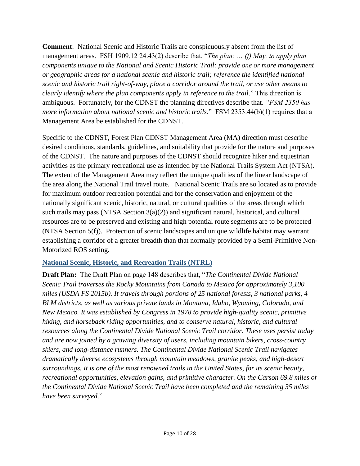**Comment**: National Scenic and Historic Trails are conspicuously absent from the list of management areas. FSH 1909.12 24.43(2) describe that, "*The plan: … (f) May, to apply plan components unique to the National and Scenic Historic Trail: provide one or more management or geographic areas for a national scenic and historic trail; reference the identified national scenic and historic trail right-of-way, place a corridor around the trail, or use other means to clearly identify where the plan components apply in reference to the trail.*" This direction is ambiguous. Fortunately, for the CDNST the planning directives describe that*, "FSM 2350 has more information about national scenic and historic trails.*" FSM 2353.44(b)(1) requires that a Management Area be established for the CDNST.

Specific to the CDNST, Forest Plan CDNST Management Area (MA) direction must describe desired conditions, standards, guidelines, and suitability that provide for the nature and purposes of the CDNST. The nature and purposes of the CDNST should recognize hiker and equestrian activities as the primary recreational use as intended by the National Trails System Act (NTSA). The extent of the Management Area may reflect the unique qualities of the linear landscape of the area along the National Trail travel route. National Scenic Trails are so located as to provide for maximum outdoor recreation potential and for the conservation and enjoyment of the nationally significant scenic, historic, natural, or cultural qualities of the areas through which such trails may pass (NTSA Section 3(a)(2)) and significant natural, historical, and cultural resources are to be preserved and existing and high potential route segments are to be protected (NTSA Section 5(f)). Protection of scenic landscapes and unique wildlife habitat may warrant establishing a corridor of a greater breadth than that normally provided by a Semi-Primitive Non-Motorized ROS setting.

## <span id="page-9-0"></span>**National Scenic, Historic, and Recreation Trails (NTRL)**

**Draft Plan:** The Draft Plan on page 148 describes that, "*The Continental Divide National Scenic Trail traverses the Rocky Mountains from Canada to Mexico for approximately 3,100 miles (USDA FS 2015b). It travels through portions of 25 national forests, 3 national parks, 4 BLM districts, as well as various private lands in Montana, Idaho, Wyoming, Colorado, and New Mexico. It was established by Congress in 1978 to provide high-quality scenic, primitive hiking, and horseback riding opportunities, and to conserve natural, historic, and cultural resources along the Continental Divide National Scenic Trail corridor. These uses persist today and are now joined by a growing diversity of users, including mountain bikers, cross-country skiers, and long-distance runners. The Continental Divide National Scenic Trail navigates dramatically diverse ecosystems through mountain meadows, granite peaks, and high-desert surroundings. It is one of the most renowned trails in the United States, for its scenic beauty, recreational opportunities, elevation gains, and primitive character. On the Carson 69.8 miles of the Continental Divide National Scenic Trail have been completed and the remaining 35 miles have been surveyed*."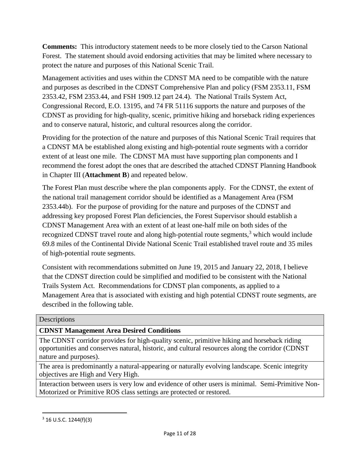**Comments:** This introductory statement needs to be more closely tied to the Carson National Forest. The statement should avoid endorsing activities that may be limited where necessary to protect the nature and purposes of this National Scenic Trail.

Management activities and uses within the CDNST MA need to be compatible with the nature and purposes as described in the CDNST Comprehensive Plan and policy (FSM 2353.11, FSM 2353.42, FSM 2353.44, and FSH 1909.12 part 24.4). The National Trails System Act, Congressional Record, E.O. 13195, and 74 FR 51116 supports the nature and purposes of the CDNST as providing for high-quality, scenic, primitive hiking and horseback riding experiences and to conserve natural, historic, and cultural resources along the corridor.

Providing for the protection of the nature and purposes of this National Scenic Trail requires that a CDNST MA be established along existing and high-potential route segments with a corridor extent of at least one mile. The CDNST MA must have supporting plan components and I recommend the forest adopt the ones that are described the attached CDNST Planning Handbook in Chapter III (**Attachment B**) and repeated below.

The Forest Plan must describe where the plan components apply. For the CDNST, the extent of the national trail management corridor should be identified as a Management Area (FSM 2353.44b). For the purpose of providing for the nature and purposes of the CDNST and addressing key proposed Forest Plan deficiencies, the Forest Supervisor should establish a CDNST Management Area with an extent of at least one-half mile on both sides of the recognized CDNST travel route and along high-potential route segments, $3$  which would include 69.8 miles of the Continental Divide National Scenic Trail established travel route and 35 miles of high-potential route segments.

Consistent with recommendations submitted on June 19, 2015 and January 22, 2018, I believe that the CDNST direction could be simplified and modified to be consistent with the National Trails System Act. Recommendations for CDNST plan components, as applied to a Management Area that is associated with existing and high potential CDNST route segments, are described in the following table.

#### **Descriptions**

## **CDNST Management Area Desired Conditions**

The CDNST corridor provides for high-quality scenic, primitive hiking and horseback riding opportunities and conserves natural, historic, and cultural resources along the corridor (CDNST nature and purposes).

The area is predominantly a natural-appearing or naturally evolving landscape. Scenic integrity objectives are High and Very High.

Interaction between users is very low and evidence of other users is minimal. Semi-Primitive Non-Motorized or Primitive ROS class settings are protected or restored.

 $\overline{a}$ 

 $3$  16 U.S.C. 1244(f)(3)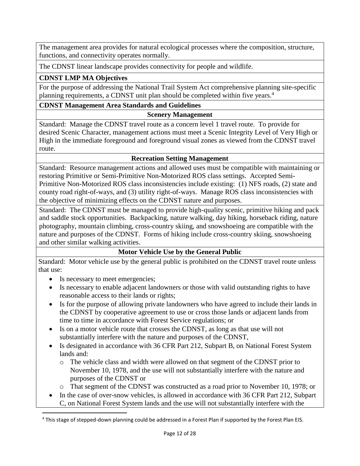The management area provides for natural ecological processes where the composition, structure, functions, and connectivity operates normally.

The CDNST linear landscape provides connectivity for people and wildlife.

## **CDNST LMP MA Objectives**

For the purpose of addressing the National Trail System Act comprehensive planning site-specific planning requirements, a CDNST unit plan should be completed within five years.<sup>4</sup>

#### **CDNST Management Area Standards and Guidelines**

#### **Scenery Management**

Standard: Manage the CDNST travel route as a concern level 1 travel route. To provide for desired Scenic Character, management actions must meet a Scenic Integrity Level of Very High or High in the immediate foreground and foreground visual zones as viewed from the CDNST travel route.

#### **Recreation Setting Management**

Standard: Resource management actions and allowed uses must be compatible with maintaining or restoring Primitive or Semi-Primitive Non-Motorized ROS class settings. Accepted Semi-Primitive Non-Motorized ROS class inconsistencies include existing: (1) NFS roads, (2) state and county road right-of-ways, and (3) utility right-of-ways. Manage ROS class inconsistencies with the objective of minimizing effects on the CDNST nature and purposes.

Standard: The CDNST must be managed to provide high-quality scenic, primitive hiking and pack and saddle stock opportunities. Backpacking, nature walking, day hiking, horseback riding, nature photography, mountain climbing, cross-country skiing, and snowshoeing are compatible with the nature and purposes of the CDNST. Forms of hiking include cross-country skiing, snowshoeing and other similar walking activities.

## **Motor Vehicle Use by the General Public**

Standard: Motor vehicle use by the general public is prohibited on the CDNST travel route unless that use:

• Is necessary to meet emergencies;

 $\overline{a}$ 

- Is necessary to enable adjacent landowners or those with valid outstanding rights to have reasonable access to their lands or rights;
- Is for the purpose of allowing private landowners who have agreed to include their lands in the CDNST by cooperative agreement to use or cross those lands or adjacent lands from time to time in accordance with Forest Service regulations; or
- Is on a motor vehicle route that crosses the CDNST, as long as that use will not substantially interfere with the nature and purposes of the CDNST,
- Is designated in accordance with 36 CFR Part 212, Subpart B, on National Forest System lands and:
	- o The vehicle class and width were allowed on that segment of the CDNST prior to November 10, 1978, and the use will not substantially interfere with the nature and purposes of the CDNST or
	- o That segment of the CDNST was constructed as a road prior to November 10, 1978; or
- In the case of over-snow vehicles, is allowed in accordance with 36 CFR Part 212, Subpart C, on National Forest System lands and the use will not substantially interfere with the

<sup>4</sup> This stage of stepped-down planning could be addressed in a Forest Plan if supported by the Forest Plan EIS.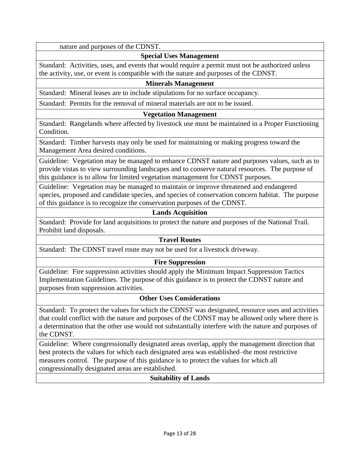nature and purposes of the CDNST.

#### **Special Uses Management**

Standard: Activities, uses, and events that would require a permit must not be authorized unless the activity, use, or event is compatible with the nature and purposes of the CDNST.

#### **Minerals Management**

Standard: Mineral leases are to include stipulations for no surface occupancy.

Standard: Permits for the removal of mineral materials are not to be issued.

#### **Vegetation Management**

Standard: Rangelands where affected by livestock use must be maintained in a Proper Functioning Condition.

Standard: Timber harvests may only be used for maintaining or making progress toward the Management Area desired conditions.

Guideline: Vegetation may be managed to enhance CDNST nature and purposes values, such as to provide vistas to view surrounding landscapes and to conserve natural resources. The purpose of this guidance is to allow for limited vegetation management for CDNST purposes.

Guideline: Vegetation may be managed to maintain or improve threatened and endangered species, proposed and candidate species, and species of conservation concern habitat. The purpose of this guidance is to recognize the conservation purposes of the CDNST.

#### **Lands Acquisition**

Standard: Provide for land acquisitions to protect the nature and purposes of the National Trail. Prohibit land disposals.

#### **Travel Routes**

Standard: The CDNST travel route may not be used for a livestock driveway.

#### **Fire Suppression**

Guideline: Fire suppression activities should apply the Minimum Impact Suppression Tactics Implementation Guidelines. The purpose of this guidance is to protect the CDNST nature and purposes from suppression activities.

#### **Other Uses Considerations**

Standard: To protect the values for which the CDNST was designated, resource uses and activities that could conflict with the nature and purposes of the CDNST may be allowed only where there is a determination that the other use would not substantially interfere with the nature and purposes of the CDNST.

Guideline: Where congressionally designated areas overlap, apply the management direction that best protects the values for which each designated area was established–the most restrictive measures control. The purpose of this guidance is to protect the values for which all congressionally designated areas are established.

#### **Suitability of Lands**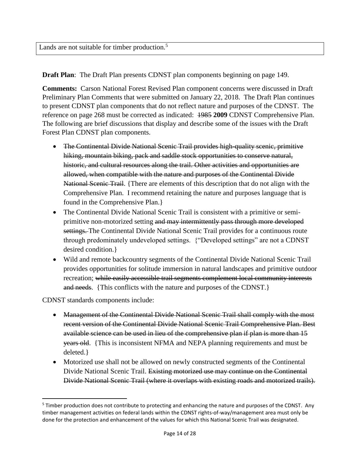Lands are not suitable for timber production.<sup>5</sup>

**Draft Plan**: The Draft Plan presents CDNST plan components beginning on page 149.

**Comments:** Carson National Forest Revised Plan component concerns were discussed in Draft Preliminary Plan Comments that were submitted on January 22, 2018. The Draft Plan continues to present CDNST plan components that do not reflect nature and purposes of the CDNST. The reference on page 268 must be corrected as indicated: 1985 **2009** CDNST Comprehensive Plan. The following are brief discussions that display and describe some of the issues with the Draft Forest Plan CDNST plan components.

- The Continental Divide National Scenic Trail provides high-quality scenic, primitive hiking, mountain biking, pack and saddle stock opportunities to conserve natural, historic, and cultural resources along the trail. Other activities and opportunities are allowed, when compatible with the nature and purposes of the Continental Divide National Scenic Trail. {There are elements of this description that do not align with the Comprehensive Plan. I recommend retaining the nature and purposes language that is found in the Comprehensive Plan.}
- The Continental Divide National Scenic Trail is consistent with a primitive or semiprimitive non-motorized setting and may intermittently pass through more developed settings. The Continental Divide National Scenic Trail provides for a continuous route through predominately undeveloped settings. {"Developed settings" are not a CDNST desired condition.}
- Wild and remote backcountry segments of the Continental Divide National Scenic Trail provides opportunities for solitude immersion in natural landscapes and primitive outdoor recreation; while easily accessible trail segments complement local community interests and needs. {This conflicts with the nature and purposes of the CDNST.}

CDNST standards components include:

 $\overline{a}$ 

- Management of the Continental Divide National Scenic Trail shall comply with the most recent version of the Continental Divide National Scenic Trail Comprehensive Plan. Best available science can be used in lieu of the comprehensive plan if plan is more than 15 years old. {This is inconsistent NFMA and NEPA planning requirements and must be deleted.}
- Motorized use shall not be allowed on newly constructed segments of the Continental Divide National Scenic Trail. Existing motorized use may continue on the Continental Divide National Scenic Trail (where it overlaps with existing roads and motorized trails).

<sup>&</sup>lt;sup>5</sup> Timber production does not contribute to protecting and enhancing the nature and purposes of the CDNST. Any timber management activities on federal lands within the CDNST rights-of-way/management area must only be done for the protection and enhancement of the values for which this National Scenic Trail was designated.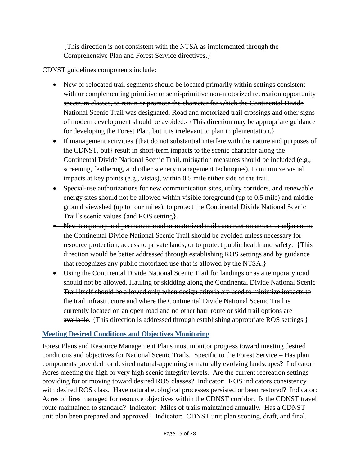{This direction is not consistent with the NTSA as implemented through the Comprehensive Plan and Forest Service directives.}

CDNST guidelines components include:

- New or relocated trail segments should be located primarily within settings consistent with or complementing primitive or semi-primitive non-motorized recreation opportunity spectrum classes, to retain or promote the character for which the Continental Divide National Scenic Trail was designated. Road and motorized trail crossings and other signs of modern development should be avoided. {This direction may be appropriate guidance for developing the Forest Plan, but it is irrelevant to plan implementation.}
- If management activities {that do not substantial interfere with the nature and purposes of the CDNST, but} result in short-term impacts to the scenic character along the Continental Divide National Scenic Trail, mitigation measures should be included (e.g., screening, feathering, and other scenery management techniques), to minimize visual impacts at key points (e.g., vistas), within 0.5 mile either side of the trail.
- Special-use authorizations for new communication sites, utility corridors, and renewable energy sites should not be allowed within visible foreground (up to 0.5 mile) and middle ground viewshed (up to four miles), to protect the Continental Divide National Scenic Trail's scenic values {and ROS setting}.
- New temporary and permanent road or motorized trail construction across or adjacent to the Continental Divide National Scenic Trail should be avoided unless necessary for resource protection, access to private lands, or to protect public health and safety. {This direction would be better addressed through establishing ROS settings and by guidance that recognizes any public motorized use that is allowed by the NTSA.}
- Using the Continental Divide National Scenic Trail for landings or as a temporary road should not be allowed. Hauling or skidding along the Continental Divide National Scenic Trail itself should be allowed only when design criteria are used to minimize impacts to the trail infrastructure and where the Continental Divide National Scenic Trail is currently located on an open road and no other haul route or skid trail options are available. {This direction is addressed through establishing appropriate ROS settings.}

# <span id="page-14-0"></span>**Meeting Desired Conditions and Objectives Monitoring**

Forest Plans and Resource Management Plans must monitor progress toward meeting desired conditions and objectives for National Scenic Trails. Specific to the Forest Service – Has plan components provided for desired natural-appearing or naturally evolving landscapes? Indicator: Acres meeting the high or very high scenic integrity levels. Are the current recreation settings providing for or moving toward desired ROS classes? Indicator: ROS indicators consistency with desired ROS class. Have natural ecological processes persisted or been restored? Indicator: Acres of fires managed for resource objectives within the CDNST corridor. Is the CDNST travel route maintained to standard? Indicator: Miles of trails maintained annually. Has a CDNST unit plan been prepared and approved? Indicator: CDNST unit plan scoping, draft, and final.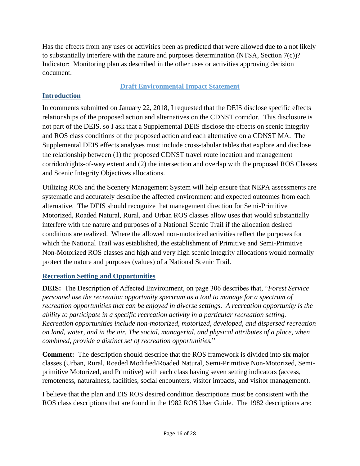Has the effects from any uses or activities been as predicted that were allowed due to a not likely to substantially interfere with the nature and purposes determination (NTSA, Section 7(c))? Indicator: Monitoring plan as described in the other uses or activities approving decision document.

## **Draft Environmental Impact Statement**

## <span id="page-15-1"></span><span id="page-15-0"></span>**Introduction**

In comments submitted on January 22, 2018, I requested that the DEIS disclose specific effects relationships of the proposed action and alternatives on the CDNST corridor. This disclosure is not part of the DEIS, so I ask that a Supplemental DEIS disclose the effects on scenic integrity and ROS class conditions of the proposed action and each alternative on a CDNST MA. The Supplemental DEIS effects analyses must include cross-tabular tables that explore and disclose the relationship between (1) the proposed CDNST travel route location and management corridor/rights-of-way extent and (2) the intersection and overlap with the proposed ROS Classes and Scenic Integrity Objectives allocations.

Utilizing ROS and the Scenery Management System will help ensure that NEPA assessments are systematic and accurately describe the affected environment and expected outcomes from each alternative. The DEIS should recognize that management direction for Semi-Primitive Motorized, Roaded Natural, Rural, and Urban ROS classes allow uses that would substantially interfere with the nature and purposes of a National Scenic Trail if the allocation desired conditions are realized. Where the allowed non-motorized activities reflect the purposes for which the National Trail was established, the establishment of Primitive and Semi-Primitive Non-Motorized ROS classes and high and very high scenic integrity allocations would normally protect the nature and purposes (values) of a National Scenic Trail.

## <span id="page-15-2"></span>**Recreation Setting and Opportunities**

**DEIS:** The Description of Affected Environment, on page 306 describes that, "*Forest Service personnel use the recreation opportunity spectrum as a tool to manage for a spectrum of recreation opportunities that can be enjoyed in diverse settings. A recreation opportunity is the ability to participate in a specific recreation activity in a particular recreation setting. Recreation opportunities include non-motorized, motorized, developed, and dispersed recreation on land, water, and in the air. The social, managerial, and physical attributes of a place, when combined, provide a distinct set of recreation opportunities.*"

**Comment:** The description should describe that the ROS framework is divided into six major classes (Urban, Rural, Roaded Modified/Roaded Natural, Semi-Primitive Non-Motorized, Semiprimitive Motorized, and Primitive) with each class having seven setting indicators (access, remoteness, naturalness, facilities, social encounters, visitor impacts, and visitor management).

I believe that the plan and EIS ROS desired condition descriptions must be consistent with the ROS class descriptions that are found in the 1982 ROS User Guide. The 1982 descriptions are: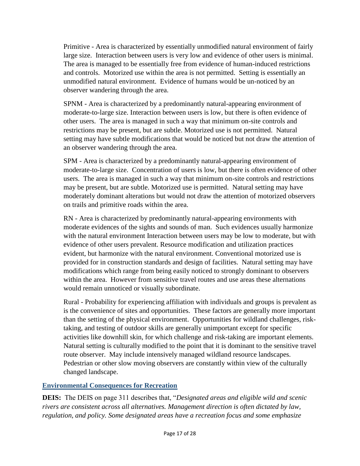Primitive - Area is characterized by essentially unmodified natural environment of fairly large size. Interaction between users is very low and evidence of other users is minimal. The area is managed to be essentially free from evidence of human-induced restrictions and controls. Motorized use within the area is not permitted. Setting is essentially an unmodified natural environment. Evidence of humans would be un-noticed by an observer wandering through the area.

SPNM - Area is characterized by a predominantly natural-appearing environment of moderate-to-large size. Interaction between users is low, but there is often evidence of other users. The area is managed in such a way that minimum on-site controls and restrictions may be present, but are subtle. Motorized use is not permitted. Natural setting may have subtle modifications that would be noticed but not draw the attention of an observer wandering through the area.

SPM - Area is characterized by a predominantly natural-appearing environment of moderate-to-large size. Concentration of users is low, but there is often evidence of other users. The area is managed in such a way that minimum on-site controls and restrictions may be present, but are subtle. Motorized use is permitted. Natural setting may have moderately dominant alterations but would not draw the attention of motorized observers on trails and primitive roads within the area.

RN - Area is characterized by predominantly natural-appearing environments with moderate evidences of the sights and sounds of man. Such evidences usually harmonize with the natural environment Interaction between users may be low to moderate, but with evidence of other users prevalent. Resource modification and utilization practices evident, but harmonize with the natural environment. Conventional motorized use is provided for in construction standards and design of facilities. Natural setting may have modifications which range from being easily noticed to strongly dominant to observers within the area. However from sensitive travel routes and use areas these alternations would remain unnoticed or visually subordinate.

Rural - Probability for experiencing affiliation with individuals and groups is prevalent as is the convenience of sites and opportunities. These factors are generally more important than the setting of the physical environment. Opportunities for wildland challenges, risktaking, and testing of outdoor skills are generally unimportant except for specific activities like downhill skin, for which challenge and risk-taking are important elements. Natural setting is culturally modified to the point that it is dominant to the sensitive travel route observer. May include intensively managed wildland resource landscapes. Pedestrian or other slow moving observers are constantly within view of the culturally changed landscape.

## <span id="page-16-0"></span>**Environmental Consequences for Recreation**

**DEIS:** The DEIS on page 311 describes that, "*Designated areas and eligible wild and scenic rivers are consistent across all alternatives. Management direction is often dictated by law, regulation, and policy. Some designated areas have a recreation focus and some emphasize*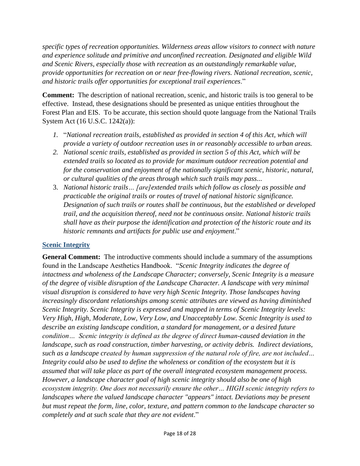*specific types of recreation opportunities. Wilderness areas allow visitors to connect with nature and experience solitude and primitive and unconfined recreation. Designated and eligible Wild and Scenic Rivers, especially those with recreation as an outstandingly remarkable value, provide opportunities for recreation on or near free-flowing rivers. National recreation, scenic, and historic trails offer opportunities for exceptional trail experiences*."

**Comment:** The description of national recreation, scenic, and historic trails is too general to be effective. Instead, these designations should be presented as unique entities throughout the Forest Plan and EIS. To be accurate, this section should quote language from the National Trails System Act (16 U.S.C. 1242(a)):

- *1.* "*National recreation trails, established as provided in section 4 of this Act, which will provide a variety of outdoor recreation uses in or reasonably accessible to urban areas.*
- *2. National scenic trails, established as provided in section 5 of this Act, which will be extended trails so located as to provide for maximum outdoor recreation potential and for the conservation and enjoyment of the nationally significant scenic, historic, natural, or cultural qualities of the areas through which such trails may pass...*
- 3. *National historic trails… [are]extended trails which follow as closely as possible and practicable the original trails or routes of travel of national historic significance. Designation of such trails or routes shall be continuous, but the established or developed trail, and the acquisition thereof, need not be continuous onsite. National historic trails shall have as their purpose the identification and protection of the historic route and its historic remnants and artifacts for public use and enjoyment*."

#### <span id="page-17-0"></span>**Scenic Integrity**

**General Comment:** The introductive comments should include a summary of the assumptions found in the Landscape Aesthetics Handbook. "*Scenic Integrity indicates the degree of intactness and wholeness of the Landscape Character; conversely, Scenic Integrity is a measure of the degree of visible disruption of the Landscape Character. A landscape with very minimal visual disruption is considered to have very high Scenic Integrity. Those landscapes having increasingly discordant relationships among scenic attributes are viewed as having diminished Scenic Integrity. Scenic Integrity is expressed and mapped in terms of Scenic Integrity levels: Very High, High, Moderate, Low, Very Low, and Unacceptably Low. Scenic Integrity is used to describe an existing landscape condition, a standard for management, or a desired future condition… Scenic integrity is defined as the degree of direct human-caused deviation in the landscape, such as road construction, timber harvesting, or activity debris. Indirect deviations, such as a landscape created by human suppression of the natural role of fire, are not included… Integrity could also be used to define the wholeness or condition of the ecosystem but it is assumed that will take place as part of the overall integrated ecosystem management process. However, a landscape character goal of high scenic integrity should also be one of high ecosystem integrity. One does not necessarily ensure the other… HIGH scenic integrity refers to landscapes where the valued landscape character "appears" intact. Deviations may be present but must repeat the form, line, color, texture, and pattern common to the landscape character so completely and at such scale that they are not evident*."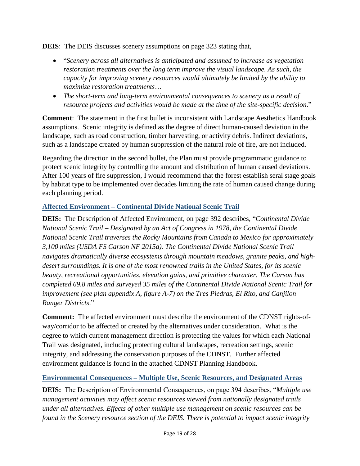**DEIS**: The DEIS discusses scenery assumptions on page 323 stating that,

- "*Scenery across all alternatives is anticipated and assumed to increase as vegetation restoration treatments over the long term improve the visual landscape. As such, the capacity for improving scenery resources would ultimately be limited by the ability to maximize restoration treatments*…
- *The short-term and long-term environmental consequences to scenery as a result of resource projects and activities would be made at the time of the site-specific decision*."

**Comment**: The statement in the first bullet is inconsistent with Landscape Aesthetics Handbook assumptions. Scenic integrity is defined as the degree of direct human-caused deviation in the landscape, such as road construction, timber harvesting, or activity debris. Indirect deviations, such as a landscape created by human suppression of the natural role of fire, are not included.

Regarding the direction in the second bullet, the Plan must provide programmatic guidance to protect scenic integrity by controlling the amount and distribution of human caused deviations. After 100 years of fire suppression, I would recommend that the forest establish seral stage goals by habitat type to be implemented over decades limiting the rate of human caused change during each planning period.

## <span id="page-18-0"></span>**Affected Environment – Continental Divide National Scenic Trail**

**DEIS:** The Description of Affected Environment, on page 392 describes, "*Continental Divide National Scenic Trail – Designated by an Act of Congress in 1978, the Continental Divide National Scenic Trail traverses the Rocky Mountains from Canada to Mexico for approximately 3,100 miles (USDA FS Carson NF 2015a). The Continental Divide National Scenic Trail navigates dramatically diverse ecosystems through mountain meadows, granite peaks, and highdesert surroundings. It is one of the most renowned trails in the United States, for its scenic beauty, recreational opportunities, elevation gains, and primitive character. The Carson has completed 69.8 miles and surveyed 35 miles of the Continental Divide National Scenic Trail for improvement (see plan appendix A, figure A-7) on the Tres Piedras, El Rito, and Canjilon Ranger Districts*."

**Comment:** The affected environment must describe the environment of the CDNST rights-ofway/corridor to be affected or created by the alternatives under consideration. What is the degree to which current management direction is protecting the values for which each National Trail was designated, including protecting cultural landscapes, recreation settings, scenic integrity, and addressing the conservation purposes of the CDNST. Further affected environment guidance is found in the attached CDNST Planning Handbook.

## <span id="page-18-1"></span>**Environmental Consequences – Multiple Use, Scenic Resources, and Designated Areas**

**DEIS:** The Description of Environmental Consequences, on page 394 describes, "*Multiple use management activities may affect scenic resources viewed from nationally designated trails under all alternatives. Effects of other multiple use management on scenic resources can be found in the Scenery resource section of the DEIS. There is potential to impact scenic integrity*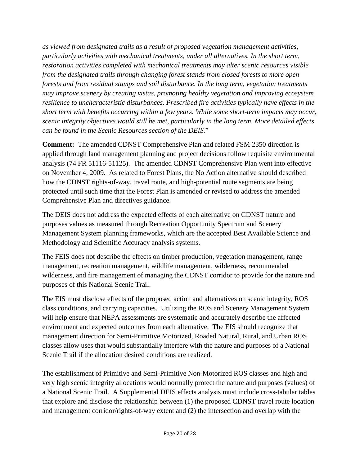*as viewed from designated trails as a result of proposed vegetation management activities, particularly activities with mechanical treatments, under all alternatives. In the short term, restoration activities completed with mechanical treatments may alter scenic resources visible from the designated trails through changing forest stands from closed forests to more open forests and from residual stumps and soil disturbance. In the long term, vegetation treatments may improve scenery by creating vistas, promoting healthy vegetation and improving ecosystem resilience to uncharacteristic disturbances. Prescribed fire activities typically have effects in the short term with benefits occurring within a few years. While some short-term impacts may occur, scenic integrity objectives would still be met, particularly in the long term. More detailed effects can be found in the Scenic Resources section of the DEIS.*"

**Comment:** The amended CDNST Comprehensive Plan and related FSM 2350 direction is applied through land management planning and project decisions follow requisite environmental analysis (74 FR 51116-51125). The amended CDNST Comprehensive Plan went into effective on November 4, 2009. As related to Forest Plans, the No Action alternative should described how the CDNST rights-of-way, travel route, and high-potential route segments are being protected until such time that the Forest Plan is amended or revised to address the amended Comprehensive Plan and directives guidance.

The DEIS does not address the expected effects of each alternative on CDNST nature and purposes values as measured through Recreation Opportunity Spectrum and Scenery Management System planning frameworks, which are the accepted Best Available Science and Methodology and Scientific Accuracy analysis systems.

The FEIS does not describe the effects on timber production, vegetation management, range management, recreation management, wildlife management, wilderness, recommended wilderness, and fire management of managing the CDNST corridor to provide for the nature and purposes of this National Scenic Trail.

The EIS must disclose effects of the proposed action and alternatives on scenic integrity, ROS class conditions, and carrying capacities. Utilizing the ROS and Scenery Management System will help ensure that NEPA assessments are systematic and accurately describe the affected environment and expected outcomes from each alternative. The EIS should recognize that management direction for Semi-Primitive Motorized, Roaded Natural, Rural, and Urban ROS classes allow uses that would substantially interfere with the nature and purposes of a National Scenic Trail if the allocation desired conditions are realized.

The establishment of Primitive and Semi-Primitive Non-Motorized ROS classes and high and very high scenic integrity allocations would normally protect the nature and purposes (values) of a National Scenic Trail. A Supplemental DEIS effects analysis must include cross-tabular tables that explore and disclose the relationship between (1) the proposed CDNST travel route location and management corridor/rights-of-way extent and (2) the intersection and overlap with the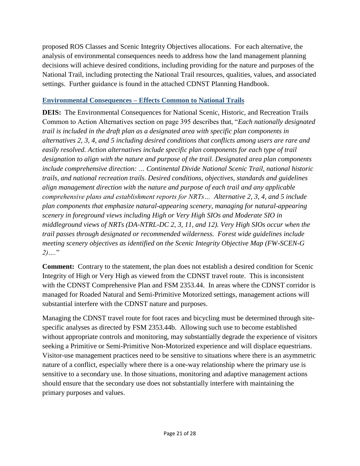proposed ROS Classes and Scenic Integrity Objectives allocations. For each alternative, the analysis of environmental consequences needs to address how the land management planning decisions will achieve desired conditions, including providing for the nature and purposes of the National Trail, including protecting the National Trail resources, qualities, values, and associated settings. Further guidance is found in the attached CDNST Planning Handbook.

#### <span id="page-20-0"></span>**Environmental Consequences – Effects Common to National Trails**

**DEIS:** The Environmental Consequences for National Scenic, Historic, and Recreation Trails Common to Action Alternatives section on page 395 describes that, "*Each nationally designated trail is included in the draft plan as a designated area with specific plan components in alternatives 2, 3, 4, and 5 including desired conditions that conflicts among users are rare and easily resolved. Action alternatives include specific plan components for each type of trail designation to align with the nature and purpose of the trail. Designated area plan components include comprehensive direction: … Continental Divide National Scenic Trail, national historic trails, and national recreation trails. Desired conditions, objectives, standards and guidelines align management direction with the nature and purpose of each trail and any applicable comprehensive plans and establishment reports for NRTs… Alternative 2, 3, 4, and 5 include plan components that emphasize natural-appearing scenery, managing for natural-appearing scenery in foreground views including High or Very High SIOs and Moderate SIO in middleground views of NRTs (DA-NTRL-DC 2, 3, 11, and 12). Very High SIOs occur when the trail passes through designated or recommended wilderness. Forest wide guidelines include meeting scenery objectives as identified on the Scenic Integrity Objective Map (FW-SCEN-G 2)….*"

**Comment:** Contrary to the statement, the plan does not establish a desired condition for Scenic Integrity of High or Very High as viewed from the CDNST travel route. This is inconsistent with the CDNST Comprehensive Plan and FSM 2353.44. In areas where the CDNST corridor is managed for Roaded Natural and Semi-Primitive Motorized settings, management actions will substantial interfere with the CDNST nature and purposes.

Managing the CDNST travel route for foot races and bicycling must be determined through sitespecific analyses as directed by FSM 2353.44b. Allowing such use to become established without appropriate controls and monitoring, may substantially degrade the experience of visitors seeking a Primitive or Semi-Primitive Non-Motorized experience and will displace equestrians. Visitor-use management practices need to be sensitive to situations where there is an asymmetric nature of a conflict, especially where there is a one-way relationship where the primary use is sensitive to a secondary use. In those situations, monitoring and adaptive management actions should ensure that the secondary use does not substantially interfere with maintaining the primary purposes and values.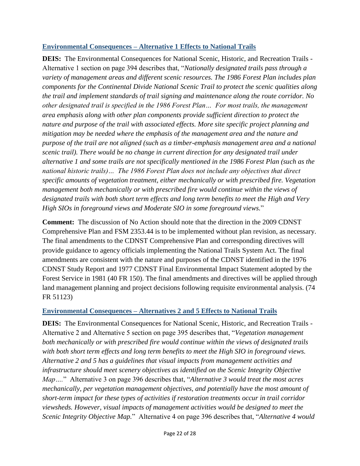## <span id="page-21-0"></span>**Environmental Consequences – Alternative 1 Effects to National Trails**

**DEIS:** The Environmental Consequences for National Scenic, Historic, and Recreation Trails - Alternative 1 section on page 394 describes that, "*Nationally designated trails pass through a variety of management areas and different scenic resources. The 1986 Forest Plan includes plan components for the Continental Divide National Scenic Trail to protect the scenic qualities along the trail and implement standards of trail signing and maintenance along the route corridor. No other designated trail is specified in the 1986 Forest Plan… For most trails, the management area emphasis along with other plan components provide sufficient direction to protect the nature and purpose of the trail with associated effects. More site specific project planning and mitigation may be needed where the emphasis of the management area and the nature and purpose of the trail are not aligned (such as a timber-emphasis management area and a national scenic trail). There would be no change in current direction for any designated trail under alternative 1 and some trails are not specifically mentioned in the 1986 Forest Plan (such as the national historic trails)… The 1986 Forest Plan does not include any objectives that direct specific amounts of vegetation treatment, either mechanically or with prescribed fire. Vegetation management both mechanically or with prescribed fire would continue within the views of designated trails with both short term effects and long term benefits to meet the High and Very High SIOs in foreground views and Moderate SIO in some foreground views.*"

**Comment:** The discussion of No Action should note that the direction in the 2009 CDNST Comprehensive Plan and FSM 2353.44 is to be implemented without plan revision, as necessary. The final amendments to the CDNST Comprehensive Plan and corresponding directives will provide guidance to agency officials implementing the National Trails System Act. The final amendments are consistent with the nature and purposes of the CDNST identified in the 1976 CDNST Study Report and 1977 CDNST Final Environmental Impact Statement adopted by the Forest Service in 1981 (40 FR 150). The final amendments and directives will be applied through land management planning and project decisions following requisite environmental analysis. (74 FR 51123)

## <span id="page-21-1"></span>**Environmental Consequences – Alternatives 2 and 5 Effects to National Trails**

**DEIS:** The Environmental Consequences for National Scenic, Historic, and Recreation Trails - Alternative 2 and Alternative 5 section on page 395 describes that, "*Vegetation management both mechanically or with prescribed fire would continue within the views of designated trails with both short term effects and long term benefits to meet the High SIO in foreground views. Alternative 2 and 5 has a guidelines that visual impacts from management activities and infrastructure should meet scenery objectives as identified on the Scenic Integrity Objective Map….*" Alternative 3 on page 396 describes that, "*Alternative 3 would treat the most acres mechanically, per vegetation management objectives, and potentially have the most amount of short-term impact for these types of activities if restoration treatments occur in trail corridor viewsheds. However, visual impacts of management activities would be designed to meet the Scenic Integrity Objective Map.*" Alternative 4 on page 396 describes that, "*Alternative 4 would*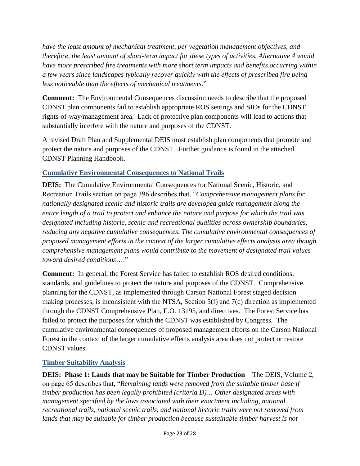*have the least amount of mechanical treatment, per vegetation management objectives, and therefore, the least amount of short-term impact for these types of activities. Alternative 4 would have more prescribed fire treatments with more short term impacts and benefits occurring within a few years since landscapes typically recover quickly with the effects of prescribed fire being less noticeable than the effects of mechanical treatments*."

**Comment:** The Environmental Consequences discussion needs to describe that the proposed CDNST plan components fail to establish appropriate ROS settings and SIOs for the CDNST rights-of-way/management area. Lack of protective plan components will lead to actions that substantially interfere with the nature and purposes of the CDNST.

A revised Draft Plan and Supplemental DEIS must establish plan components that promote and protect the nature and purposes of the CDNST. Further guidance is found in the attached CDNST Planning Handbook.

## <span id="page-22-0"></span>**Cumulative Environmental Consequences to National Trails**

**DEIS:** The Cumulative Environmental Consequences for National Scenic, Historic, and Recreation Trails section on page 396 describes that, "*Comprehensive management plans for nationally designated scenic and historic trails are developed guide management along the entire length of a trail to protect and enhance the nature and purpose for which the trail was designated including historic, scenic and recreational qualities across ownership boundaries, reducing any negative cumulative consequences. The cumulative environmental consequences of proposed management efforts in the context of the larger cumulative effects analysis area though comprehensive management plans would contribute to the movement of designated trail values toward desired conditions*…."

**Comment:** In general, the Forest Service has failed to establish ROS desired conditions, standards, and guidelines to protect the nature and purposes of the CDNST. Comprehensive planning for the CDNST, as implemented through Carson National Forest staged decision making processes, is inconsistent with the NTSA, Section 5(f) and 7(c) direction as implemented through the CDNST Comprehensive Plan, E.O. 13195, and directives. The Forest Service has failed to protect the purposes for which the CDNST was established by Congress. The cumulative environmental consequences of proposed management efforts on the Carson National Forest in the context of the larger cumulative effects analysis area does not protect or restore CDNST values.

## <span id="page-22-1"></span>**Timber Suitability Analysis**

**DEIS: Phase 1: Lands that may be Suitable for Timber Production** – The DEIS, Volume 2, on page 65 describes that, "*Remaining lands were removed from the suitable timber base if timber production has been legally prohibited (criteria D)… Other designated areas with management specified by the laws associated with their enactment including, national recreational trails, national scenic trails, and national historic trails were not removed from*  lands that may be suitable for timber production because sustainable timber harvest is not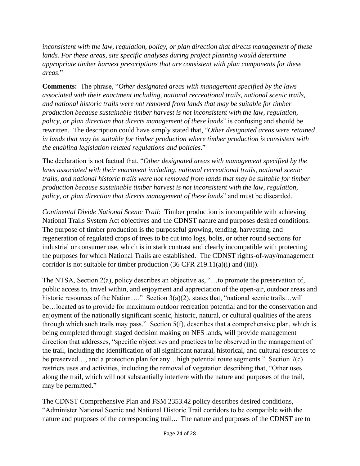*inconsistent with the law, regulation, policy, or plan direction that directs management of these lands. For these areas, site specific analyses during project planning would determine appropriate timber harvest prescriptions that are consistent with plan components for these areas*."

**Comments:** The phrase, "*Other designated areas with management specified by the laws associated with their enactment including, national recreational trails, national scenic trails, and national historic trails were not removed from lands that may be suitable for timber production because sustainable timber harvest is not inconsistent with the law, regulation, policy, or plan direction that directs management of these lands*" is confusing and should be rewritten. The description could have simply stated that, "*Other designated areas were retained in lands that may be suitable for timber production where timber production is consistent with the enabling legislation related regulations and policies*."

The declaration is not factual that, "*Other designated areas with management specified by the laws associated with their enactment including, national recreational trails, national scenic trails, and national historic trails were not removed from lands that may be suitable for timber production because sustainable timber harvest is not inconsistent with the law, regulation, policy, or plan direction that directs management of these lands*" and must be discarded.

*Continental Divide National Scenic Trail*: Timber production is incompatible with achieving National Trails System Act objectives and the CDNST nature and purposes desired conditions. The purpose of timber production is the purposeful growing, tending, harvesting, and regeneration of regulated crops of trees to be cut into logs, bolts, or other round sections for industrial or consumer use, which is in stark contrast and clearly incompatible with protecting the purposes for which National Trails are established. The CDNST rights-of-way/management corridor is not suitable for timber production (36 CFR 219.11(a)(i) and (iii)).

The NTSA, Section 2(a), policy describes an objective as, "…to promote the preservation of, public access to, travel within, and enjoyment and appreciation of the open-air, outdoor areas and historic resources of the Nation…." Section 3(a)(2), states that, "national scenic trails…will be…located as to provide for maximum outdoor recreation potential and for the conservation and enjoyment of the nationally significant scenic, historic, natural, or cultural qualities of the areas through which such trails may pass." Section 5(f), describes that a comprehensive plan, which is being completed through staged decision making on NFS lands, will provide management direction that addresses, "specific objectives and practices to be observed in the management of the trail, including the identification of all significant natural, historical, and cultural resources to be preserved…, and a protection plan for any…high potential route segments." Section 7(c) restricts uses and activities, including the removal of vegetation describing that, "Other uses along the trail, which will not substantially interfere with the nature and purposes of the trail, may be permitted."

The CDNST Comprehensive Plan and FSM 2353.42 policy describes desired conditions, "Administer National Scenic and National Historic Trail corridors to be compatible with the nature and purposes of the corresponding trail... The nature and purposes of the CDNST are to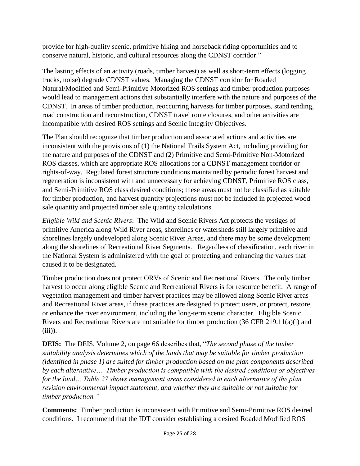provide for high-quality scenic, primitive hiking and horseback riding opportunities and to conserve natural, historic, and cultural resources along the CDNST corridor."

The lasting effects of an activity (roads, timber harvest) as well as short-term effects (logging trucks, noise) degrade CDNST values. Managing the CDNST corridor for Roaded Natural/Modified and Semi-Primitive Motorized ROS settings and timber production purposes would lead to management actions that substantially interfere with the nature and purposes of the CDNST. In areas of timber production, reoccurring harvests for timber purposes, stand tending, road construction and reconstruction, CDNST travel route closures, and other activities are incompatible with desired ROS settings and Scenic Integrity Objectives.

The Plan should recognize that timber production and associated actions and activities are inconsistent with the provisions of (1) the National Trails System Act, including providing for the nature and purposes of the CDNST and (2) Primitive and Semi-Primitive Non-Motorized ROS classes, which are appropriate ROS allocations for a CDNST management corridor or rights-of-way. Regulated forest structure conditions maintained by periodic forest harvest and regeneration is inconsistent with and unnecessary for achieving CDNST, Primitive ROS class, and Semi-Primitive ROS class desired conditions; these areas must not be classified as suitable for timber production, and harvest quantity projections must not be included in projected wood sale quantity and projected timber sale quantity calculations.

*Eligible Wild and Scenic Rivers*: The Wild and Scenic Rivers Act protects the vestiges of primitive America along Wild River areas, shorelines or watersheds still largely primitive and shorelines largely undeveloped along Scenic River Areas, and there may be some development along the shorelines of Recreational River Segments. Regardless of classification, each river in the National System is administered with the goal of protecting and enhancing the values that caused it to be designated.

Timber production does not protect ORVs of Scenic and Recreational Rivers. The only timber harvest to occur along eligible Scenic and Recreational Rivers is for resource benefit. A range of vegetation management and timber harvest practices may be allowed along Scenic River areas and Recreational River areas, if these practices are designed to protect users, or protect, restore, or enhance the river environment, including the long-term scenic character. Eligible Scenic Rivers and Recreational Rivers are not suitable for timber production (36 CFR 219.11(a)(i) and  $(iii)$ ).

**DEIS:** The DEIS, Volume 2, on page 66 describes that, "*The second phase of the timber suitability analysis determines which of the lands that may be suitable for timber production (identified in phase 1) are suited for timber production based on the plan components described by each alternative… Timber production is compatible with the desired conditions or objectives for the land… Table 27 shows management areas considered in each alternative of the plan revision environmental impact statement, and whether they are suitable or not suitable for timber production."*

**Comments:** Timber production is inconsistent with Primitive and Semi-Primitive ROS desired conditions. I recommend that the IDT consider establishing a desired Roaded Modified ROS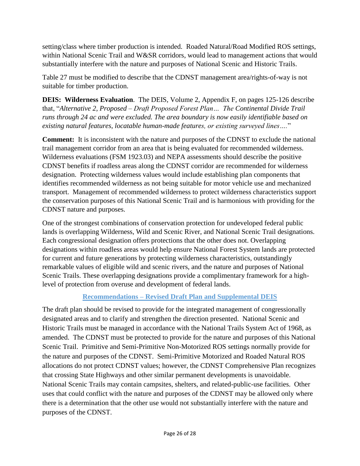setting/class where timber production is intended. Roaded Natural/Road Modified ROS settings, within National Scenic Trail and W&SR corridors, would lead to management actions that would substantially interfere with the nature and purposes of National Scenic and Historic Trails.

Table 27 must be modified to describe that the CDNST management area/rights-of-way is not suitable for timber production.

**DEIS: Wilderness Evaluation**. The DEIS, Volume 2, Appendix F, on pages 125-126 describe that, "*Alternative 2, Proposed – Draft Proposed Forest Plan… The Continental Divide Trail runs through 24 ac and were excluded. The area boundary is now easily identifiable based on existing natural features, locatable human-made features, or existing surveyed lines….*"

**Comment:** It is inconsistent with the nature and purposes of the CDNST to exclude the national trail management corridor from an area that is being evaluated for recommended wilderness. Wilderness evaluations (FSM 1923.03) and NEPA assessments should describe the positive CDNST benefits if roadless areas along the CDNST corridor are recommended for wilderness designation. Protecting wilderness values would include establishing plan components that identifies recommended wilderness as not being suitable for motor vehicle use and mechanized transport. Management of recommended wilderness to protect wilderness characteristics support the conservation purposes of this National Scenic Trail and is harmonious with providing for the CDNST nature and purposes.

One of the strongest combinations of conservation protection for undeveloped federal public lands is overlapping Wilderness, Wild and Scenic River, and National Scenic Trail designations. Each congressional designation offers protections that the other does not. Overlapping designations within roadless areas would help ensure National Forest System lands are protected for current and future generations by protecting wilderness characteristics, outstandingly remarkable values of eligible wild and scenic rivers, and the nature and purposes of National Scenic Trails. These overlapping designations provide a complimentary framework for a highlevel of protection from overuse and development of federal lands.

## **Recommendations – Revised Draft Plan and Supplemental DEIS**

<span id="page-25-0"></span>The draft plan should be revised to provide for the integrated management of congressionally designated areas and to clarify and strengthen the direction presented. National Scenic and Historic Trails must be managed in accordance with the National Trails System Act of 1968, as amended. The CDNST must be protected to provide for the nature and purposes of this National Scenic Trail. Primitive and Semi-Primitive Non-Motorized ROS settings normally provide for the nature and purposes of the CDNST. Semi-Primitive Motorized and Roaded Natural ROS allocations do not protect CDNST values; however, the CDNST Comprehensive Plan recognizes that crossing State Highways and other similar permanent developments is unavoidable. National Scenic Trails may contain campsites, shelters, and related-public-use facilities. Other uses that could conflict with the nature and purposes of the CDNST may be allowed only where there is a determination that the other use would not substantially interfere with the nature and purposes of the CDNST.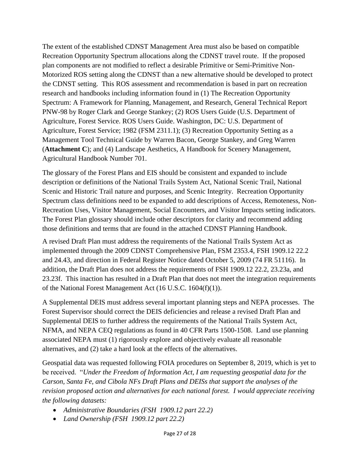The extent of the established CDNST Management Area must also be based on compatible Recreation Opportunity Spectrum allocations along the CDNST travel route. If the proposed plan components are not modified to reflect a desirable Primitive or Semi-Primitive Non-Motorized ROS setting along the CDNST than a new alternative should be developed to protect the CDNST setting. This ROS assessment and recommendation is based in part on recreation research and handbooks including information found in (1) The Recreation Opportunity Spectrum: A Framework for Planning, Management, and Research, General Technical Report PNW-98 by Roger Clark and George Stankey; (2) ROS Users Guide (U.S. Department of Agriculture, Forest Service. ROS Users Guide. Washington, DC: U.S. Department of Agriculture, Forest Service; 1982 (FSM 2311.1); (3) Recreation Opportunity Setting as a Management Tool Technical Guide by Warren Bacon, George Stankey, and Greg Warren (**Attachment C**); and (4) Landscape Aesthetics, A Handbook for Scenery Management, Agricultural Handbook Number 701.

The glossary of the Forest Plans and EIS should be consistent and expanded to include description or definitions of the National Trails System Act, National Scenic Trail, National Scenic and Historic Trail nature and purposes, and Scenic Integrity. Recreation Opportunity Spectrum class definitions need to be expanded to add descriptions of Access, Remoteness, Non-Recreation Uses, Visitor Management, Social Encounters, and Visitor Impacts setting indicators. The Forest Plan glossary should include other descriptors for clarity and recommend adding those definitions and terms that are found in the attached CDNST Planning Handbook.

A revised Draft Plan must address the requirements of the National Trails System Act as implemented through the 2009 CDNST Comprehensive Plan, FSM 2353.4, FSH 1909.12 22.2 and 24.43, and direction in Federal Register Notice dated October 5, 2009 (74 FR 51116). In addition, the Draft Plan does not address the requirements of FSH 1909.12 22.2, 23.23a, and 23.23f. This inaction has resulted in a Draft Plan that does not meet the integration requirements of the National Forest Management Act (16 U.S.C. 1604(f)(1)).

A Supplemental DEIS must address several important planning steps and NEPA processes. The Forest Supervisor should correct the DEIS deficiencies and release a revised Draft Plan and Supplemental DEIS to further address the requirements of the National Trails System Act, NFMA, and NEPA CEQ regulations as found in 40 CFR Parts 1500-1508. Land use planning associated NEPA must (1) rigorously explore and objectively evaluate all reasonable alternatives, and (2) take a hard look at the effects of the alternatives.

Geospatial data was requested following FOIA procedures on September 8, 2019, which is yet to be received. "*Under the Freedom of Information Act, I am requesting geospatial data for the Carson, Santa Fe, and Cibola NFs Draft Plans and DEISs that support the analyses of the revision proposed action and alternatives for each national forest. I would appreciate receiving the following datasets:*

- *Administrative Boundaries (FSH 1909.12 part 22.2)*
- *Land Ownership (FSH 1909.12 part 22.2)*